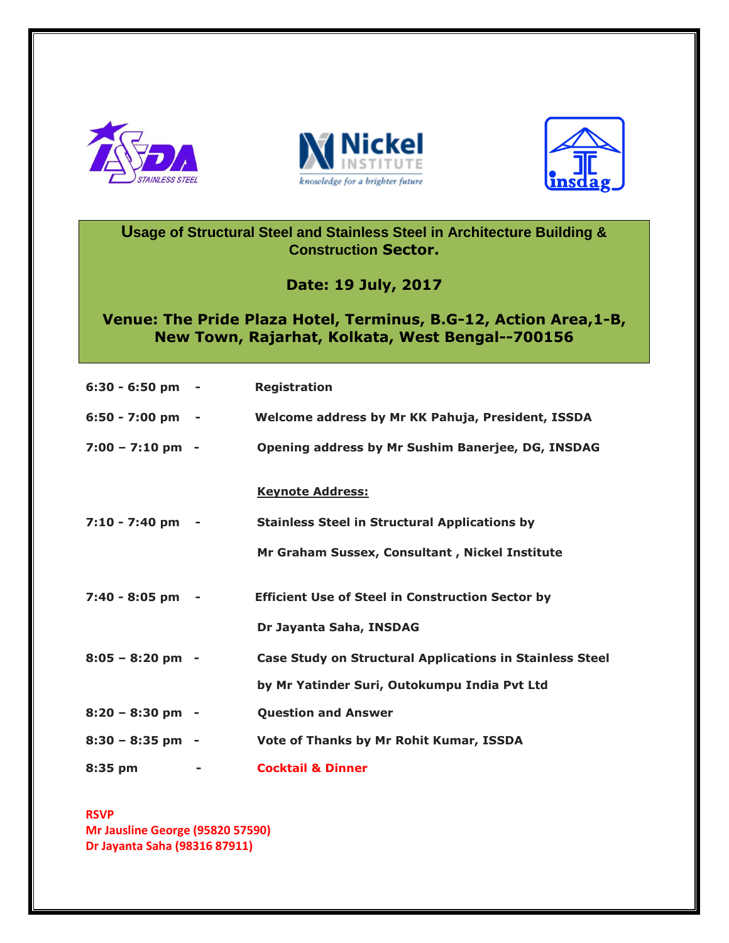





**Usage of Structural Steel and Stainless Steel in Architecture Building & Construction Sector.**

**Date: 19 July, 2017**

## **Venue: The Pride Plaza Hotel, Terminus, B.G-12, Action Area,1-B, New Town, Rajarhat, Kolkata, West Bengal--700156**

| $6:30 - 6:50$ pm -          | <b>Registration</b>                                                                                             |
|-----------------------------|-----------------------------------------------------------------------------------------------------------------|
| $6:50 - 7:00$ pm -          | Welcome address by Mr KK Pahuja, President, ISSDA                                                               |
| $7:00 - 7:10 \text{ pm } -$ | Opening address by Mr Sushim Banerjee, DG, INSDAG                                                               |
| 7:10 - 7:40 pm -            | <b>Keynote Address:</b><br><b>Stainless Steel in Structural Applications by</b>                                 |
|                             | Mr Graham Sussex, Consultant, Nickel Institute                                                                  |
| 7:40 - 8:05 pm              | <b>Efficient Use of Steel in Construction Sector by</b><br>Dr Jayanta Saha, INSDAG                              |
| $8:05 - 8:20$ pm -          | <b>Case Study on Structural Applications in Stainless Steel</b><br>by Mr Yatinder Suri, Outokumpu India Pvt Ltd |
| $8:20 - 8:30$ pm -          | <b>Question and Answer</b>                                                                                      |
| $8:30 - 8:35$ pm -          | Vote of Thanks by Mr Rohit Kumar, ISSDA                                                                         |
| 8:35 pm                     | <b>Cocktail &amp; Dinner</b>                                                                                    |

**RSVP Mr Jausline George (95820 57590) Dr Jayanta Saha (98316 87911)**